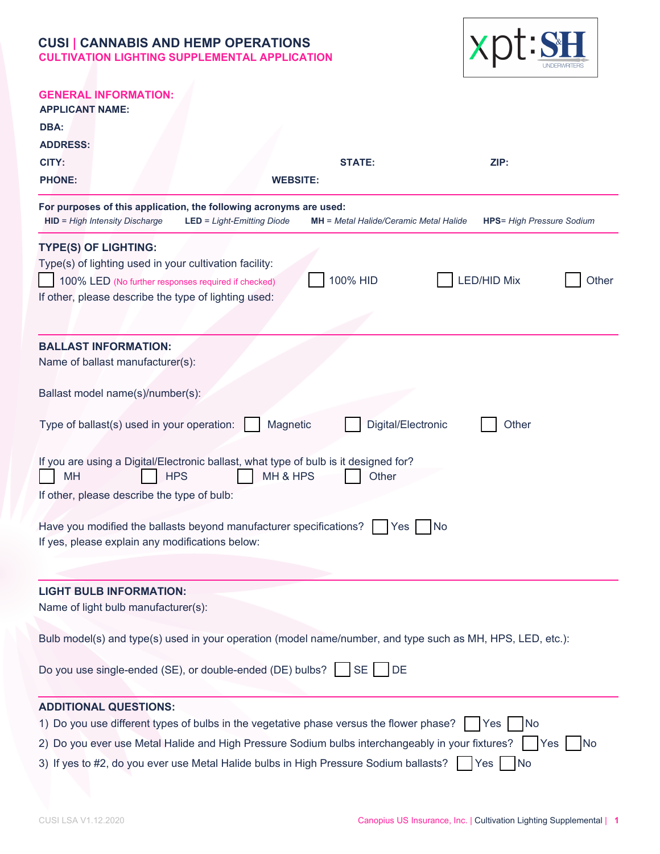

| <b>GENERAL INFORMATION:</b><br><b>APPLICANT NAME:</b>                                                                                                                                        |                                   |
|----------------------------------------------------------------------------------------------------------------------------------------------------------------------------------------------|-----------------------------------|
| DBA:                                                                                                                                                                                         |                                   |
| <b>ADDRESS:</b>                                                                                                                                                                              |                                   |
| CITY:<br><b>STATE:</b>                                                                                                                                                                       | ZIP:                              |
| <b>PHONE:</b><br><b>WEBSITE:</b>                                                                                                                                                             |                                   |
| For purposes of this application, the following acronyms are used:<br><b>HID</b> = High Intensity Discharge<br>$LED = Light-Emitting Diode$<br><b>MH</b> = Metal Halide/Ceramic Metal Halide | <b>HPS</b> = High Pressure Sodium |
| <b>TYPE(S) OF LIGHTING:</b>                                                                                                                                                                  |                                   |
| Type(s) of lighting used in your cultivation facility:                                                                                                                                       |                                   |
| 100% HID<br>100% LED (No further responses required if checked)                                                                                                                              | <b>LED/HID Mix</b><br>Other       |
| If other, please describe the type of lighting used:                                                                                                                                         |                                   |
| <b>BALLAST INFORMATION:</b>                                                                                                                                                                  |                                   |
| Name of ballast manufacturer(s):                                                                                                                                                             |                                   |
|                                                                                                                                                                                              |                                   |
| Ballast model name(s)/number(s):                                                                                                                                                             |                                   |
| Digital/Electronic<br>Type of ballast(s) used in your operation:<br>Magnetic                                                                                                                 | Other                             |
| If you are using a Digital/Electronic ballast, what type of bulb is it designed for?<br>MH & HPS<br>MH<br><b>HPS</b><br>Other                                                                |                                   |
| If other, please describe the type of bulb:                                                                                                                                                  |                                   |
| Have you modified the ballasts beyond manufacturer specifications?<br>Yes<br>N <sub>o</sub><br>If yes, please explain any modifications below:                                               |                                   |
|                                                                                                                                                                                              |                                   |
| <b>LIGHT BULB INFORMATION:</b>                                                                                                                                                               |                                   |
| Name of light bulb manufacturer(s):                                                                                                                                                          |                                   |
| Bulb model(s) and type(s) used in your operation (model name/number, and type such as MH, HPS, LED, etc.):                                                                                   |                                   |
| Do you use single-ended (SE), or double-ended (DE) bulbs?   SE<br><b>DE</b>                                                                                                                  |                                   |
| <b>ADDITIONAL QUESTIONS:</b>                                                                                                                                                                 |                                   |
| 1) Do you use different types of bulbs in the vegetative phase versus the flower phase?<br><b>Yes</b><br><b>No</b>                                                                           |                                   |
| 2) Do you ever use Metal Halide and High Pressure Sodium bulbs interchangeably in your fixtures?<br><b>Yes</b><br><b>No</b>                                                                  |                                   |
| 3) If yes to #2, do you ever use Metal Halide bulbs in High Pressure Sodium ballasts?<br>No<br>Yes                                                                                           |                                   |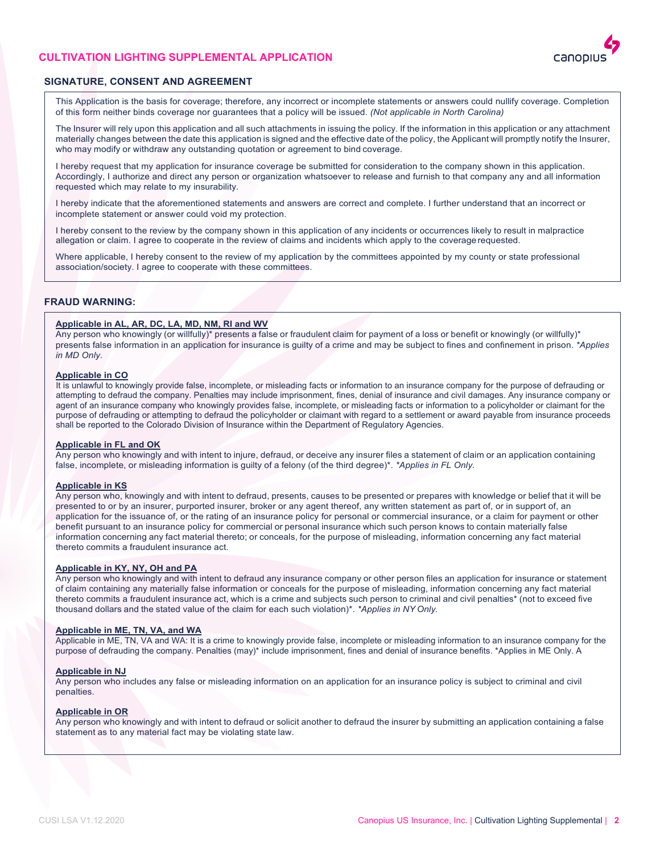## **CULTIVATION LIGHTING SUPPLEMENTAL APPLICATION**



## **SIGNATURE, CONSENT AND AGREEMENT**

This Application is the basis for coverage; therefore, any incorrect or incomplete statements or answers could nullify coverage. Completion of this form neither binds coverage nor guarantees that a policy will be issued. *(Not applicable in North Carolina)*

The Insurer will rely upon this application and all such attachments in issuing the policy. If the information in this application or any attachment materially changes between the date this application is signed and the effective date of the policy, the Applicant will promptly notify the Insurer, who may modify or withdraw any outstanding quotation or agreement to bind coverage.

I hereby request that my application for insurance coverage be submitted for consideration to the company shown in this application. Accordingly, I authorize and direct any person or organization whatsoever to release and furnish to that company any and all information requested which may relate to my insurability.

I hereby indicate that the aforementioned statements and answers are correct and complete. I further understand that an incorrect or incomplete statement or answer could void my protection.

I hereby consent to the review by the company shown in this application of any incidents or occurrences likely to result in malpractice allegation or claim. I agree to cooperate in the review of claims and incidents which apply to the coverage requested.

Where applicable, I hereby consent to the review of my application by the committees appointed by my county or state professional association/society. I agree to cooperate with these committees.

## **FRAUD WARNING:**

#### **Applicable in AL, AR, DC, LA, MD, NM, RI and WV**

Any person who knowingly (or willfully)\* presents a false or fraudulent claim for payment of a loss or benefit or knowingly (or willfully)\* presents false information in an application for insurance is guilty of a crime and may be subject to fines and confinement in prison. *\*Applies in MD Only.*

#### **Applicable in CO**

 It is unlawful to knowingly provide false, incomplete, or misleading facts or information to an insurance company for the purpose of defrauding or attempting to defraud the company. Penalties may include imprisonment, fines, denial of insurance and civil damages. Any insurance company or agent of an insurance company who knowingly provides false, incomplete, or misleading facts or information to a policyholder or claimant for the purpose of defrauding or attempting to defraud the policyholder or claimant with regard to a settlement or award payable from insurance proceeds shall be reported to the Colorado Division of Insurance within the Department of Regulatory Agencies.

## **Applicable in FL and OK**

Any person who knowingly and with intent to injure, defraud, or deceive any insurer files a statement of claim or an application containing false, incomplete, or misleading information is guilty of a felony (of the third degree)\*. *\*Applies in FL Only.*

#### **Applicable in KS**

Any person who, knowingly and with intent to defraud, presents, causes to be presented or prepares with knowledge or belief that it will be presented to or by an insurer, purported insurer, broker or any agent thereof, any written statement as part of, or in support of, an application for the issuance of, or the rating of an insurance policy for personal or commercial insurance, or a claim for payment or other benefit pursuant to an insurance policy for commercial or personal insurance which such person knows to contain materially false information concerning any fact material thereto; or conceals, for the purpose of misleading, information concerning any fact material thereto commits a fraudulent insurance act.

## **Applicable in KY, NY, OH and PA**

Any person who knowingly and with intent to defraud any insurance company or other person files an application for insurance or statement of claim containing any materially false information or conceals for the purpose of misleading, information concerning any fact material thereto commits a fraudulent insurance act, which is a crime and subjects such person to criminal and civil penalties\* (not to exceed five thousand dollars and the stated value of the claim for each such violation)\*. *\*Applies in NY Only.*

## **Applicable in ME, TN, VA, and WA**

Applicable in ME, TN, VA and WA: It is a crime to knowingly provide false, incomplete or misleading information to an insurance company for the purpose of defrauding the company. Penalties (may)\* include imprisonment, fines and denial of insurance benefits. \*Applies in ME Only. A

#### **Applicable in NJ**

Any person who includes any false or misleading information on an application for an insurance policy is subject to criminal and civil penalties.

## **Applicable in OR**

Any person who knowingly and with intent to defraud or solicit another to defraud the insurer by submitting an application containing a false statement as to any material fact may be violating state law.